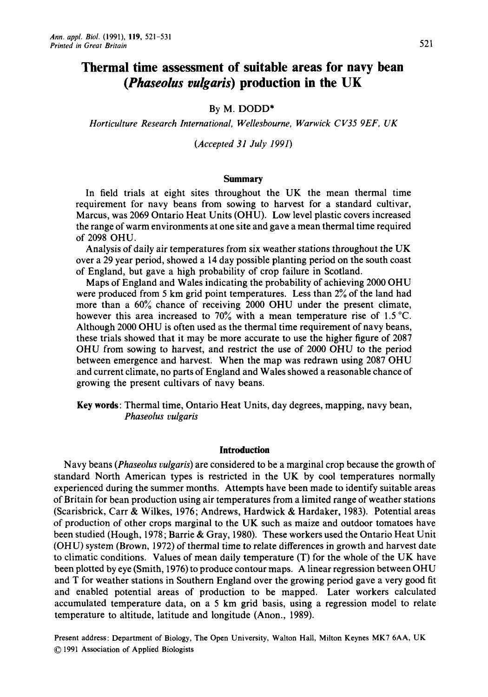# **Thermal time assessment of suitable areas for navy bean**  *(Phaseolus vui'garis)* **production in the UK**

# By M. **DODD\***

*Horticulture Research International, Wellesbourne, Warwick C V35 9EF. UK* 

*(Accepted 3 I July 199 I)* 

## **Summary**

In field trials at eight sites throughout the UK the mean thermal time requirement for navy beans from sowing to harvest for a standard cultivar, Marcus, was 2069 Ontario Heat Units (OHU). Low level plastic covers increased the range of warm environments at one site and gave a mean thermal time required of 2098 OHU.

Analysis of daily air temperatures from six weather stations throughout the UK over a 29 year period, showed a 14 day possible planting period on the south coast of England, but gave a high probability of crop failure in Scotland.

Maps of England and Wales indicating the probability of achieving 2000 OHU were produced from *5* km grid point temperatures. Less than 2% of the land had more than a 60% chance of receiving 2000 OHU under the present climate, however this area increased to 70% with a mean temperature rise of 1.5 **"C.**  Although 2000 OHU is often used as the thermal time requirement of navy beans, these trials showed that it may be more accurate to use the higher figure of 2087 OHU from sowing to harvest, and restrict the use of 2000 OHU to the period between emergence and harvest. When the map was redrawn using 2087 OHU and current climate, no parts of England and Wales showed a reasonable chance of growing the present cultivars of navy beans.

Key **words:** Thermal time, Ontario Heat Units, day degrees, mapping, navy bean, *Phaseolus vulgaris* 

## **Introduction**

Navy beans *(Phaseolus vulgaris)* are considered to be a marginal crop because the growth of standard North American types is restricted in the UK by cool temperatures normally experienced during the summer months. Attempts have been made to identify suitable areas of Britain for bean production using air temperatures from a limited range of weather stations (Scarisbrick, Carr & Wilkes, 1976; Andrews, Hardwick & Hardaker, 1983). Potential areas of production of other crops marginal to the UK such as maize and outdoor tomatoes have been studied (Hough, 1978; Barrie & Gray, 1980). These workers used the Ontario Heat Unit (OHU) system (Brown, 1972) of thermal time to relate differences in growth and harvest date to climatic conditions. Values of mean daily temperature (T) for the whole of the UK have been plotted by eye (Smith, 1976) to produce contour maps. A linear regression between OHU and T for weather stations in Southern England over the growing period gave a very good fit and enabled potential areas of production to be mapped. Later workers calculated accumulated temperature data, on a 5 km grid basis, using a regression model to relate temperature to altitude, latitude and longitude (Anon., 1989).

Present address: Department of Biology, The Open University, Walton Hall, Milton Keynes MK7 6AA, UK *0* 1991 Association of Applied **Biologists**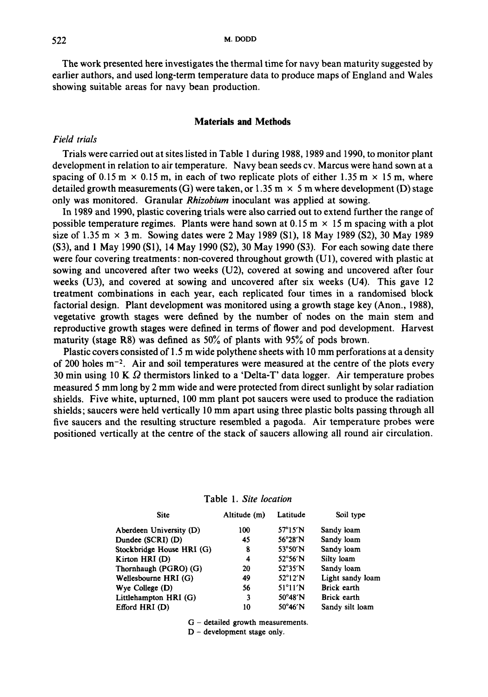The work presented here investigates the thermal time for navy bean maturity suggested by earlier authors, and used long-term temperature data to produce maps of England and Wales showing suitable areas for navy bean production.

## **Materials and Methods**

## *Field trials*

Trials were carried out at sites listed in Table 1 during 1988, 1989 and 1990, to monitor plant development in relation to air temperature. Navy bean seeds cv. Marcus were hand sown at a spacing of 0.15 m  $\times$  0.15 m, in each of two replicate plots of either 1.35 m  $\times$  15 m, where detailed growth measurements (G) were taken, or 1.35 m  $\times$  5 m where development (D) stage only was monitored. Granular *Rhizobium* inoculant was applied at sowing.

In 1989 and 1990, plastic covering trials were also carried out to extend further the range of possible temperature regimes. Plants were hand sown at  $0.15 \text{ m} \times 15 \text{ m}$  spacing with a plot size of 1.35 m  $\times$  3 m. Sowing dates were 2 May 1989 (S1), 18 May 1989 (S2), 30 May 1989 **(S3),** and **1** May 1990 (Sl), 14 May 1990 **(S2),** 30 May 1990 (S3). For each sowing date there were four covering treatments: non-covered throughout growth  $(U1)$ , covered with plastic at sowing and uncovered after two weeks (U2), covered at sowing and uncovered after four weeks (U3), and covered at sowing and uncovered after six weeks (U4). This gave 12 treatment combinations in each year, each replicated four times in a randomised block factorial design. Plant development was monitored using a growth stage key (Anon., 1988), vegetative growth stages were defined by the number of nodes on the main stem and reproductive growth stages were defined in terms of flower and pod development. Harvest maturity (stage **R8)** was defined as 50% of plants with 95% of pods brown.

Plastic covers consisted of 1.5 m wide polythene sheets with 10 mm perforations at a density of 200 holes  $m^{-2}$ . Air and soil temperatures were measured at the centre of the plots every 30 min using 10 K *52* thermistors linked to a 'Delta-T' data logger. Air temperature probes measured 5 mm long by 2 mm wide and were protected from direct sunlight by solar radiation shields. Five white, upturned, 100 mm plant pot saucers were used to produce the radiation shields; saucers were held vertically 10 mm apart using three plastic bolts passing through all five saucers and the resulting structure resembled a pagoda. Air temperature probes were positioned vertically at the centre of the stack of saucers allowing all round air circulation.

| <b>Site</b>               | Altitude (m) | Latitude                 | Soil type        |
|---------------------------|--------------|--------------------------|------------------|
| Aberdeen University (D)   | 100          | $57^{\circ}15'$ N        | Sandy loam       |
| Dundee (SCRI) (D)         | 45           | 56°28′N                  | Sandy loam       |
| Stockbridge House HRI (G) | 8            | 53°50'N                  | Sandy loam       |
| Kirton HRI (D)            | 4            | 52°56′N                  | Silty loam       |
| Thornhaugh (PGRO) (G)     | 20           | 52°35′N                  | Sandy loam       |
| Wellesbourne HRI (G)      | 49           | $52^{\circ}12'$ N        | Light sandy loam |
| Wye College $(D)$         | 56           | $51^{\circ}11^{\prime}N$ | Brick earth      |
| Littlehampton HRI (G)     | 3            | $50^{\circ}48'$ N        | Brick earth      |
| Efford HRI (D)            | 10           | $50^{\circ}46'$ N        | Sandy silt loam  |

Table **1.** *Site location* 

<sup>G</sup>- detailed growth measurements.

 $D$  - development stage only.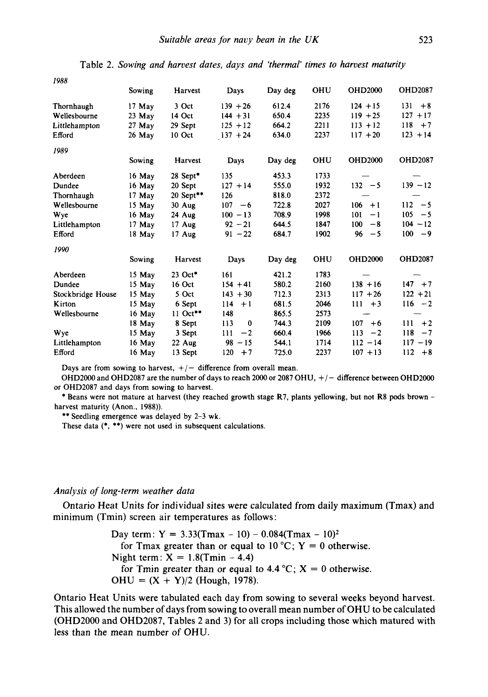| 1966              |          |                     |                 |         |      |                |                |
|-------------------|----------|---------------------|-----------------|---------|------|----------------|----------------|
|                   | Sowing   | Harvest             | Days            | Day deg | OHU  | <b>OHD2000</b> | <b>OHD2087</b> |
| Thornhaugh        | $17$ May | 3 Oct               | $139 + 26$      | 612.4   | 2176 | $124 + 15$     | 131<br>$+8$    |
| Wellesbourne      | $23$ May | 14 Oct              | $144 + 31$      | 650.4   | 2235 | $119 + 25$     | $127 + 17$     |
| Littlehampton     | $27$ May | 29 Sept             | $125 + 12$      | 664.2   | 2211 | $113 + 12$     | $118 + 7$      |
| Efford            | $26$ May | 10 Oct              | $137 + 24$      | 634.0   | 2237 | $117 + 20$     | $123 + 14$     |
| 1989              |          |                     |                 |         |      |                |                |
|                   | Sowing   | Harvest             | Days            | Day deg | OHU  | <b>OHD2000</b> | <b>OHD2087</b> |
| Aberdeen          | $16$ May | 28 Sept*            | 135             | 453.3   | 1733 |                |                |
| Dundee            | 16 May   | 20 Sept             | $127 + 14$      | 555.0   | 1932 | $132 - 5$      | $139 - 12$     |
| Thornhaugh        | $17$ May | 20 Sept**           | 126             | 818.0   | 2372 |                |                |
| Wellesbourne      | $15$ May | $30$ Aug            | $107 - 6$       | 722.8   | 2027 | $106 + 1$      | $112 - 5$      |
| Wye               | $16$ May | 24 Aug              | $100 - 13$      | 708.9   | 1998 | 101<br>$-1$    | $105 - 5$      |
| Littlehampton     | $17$ May | $17 \text{ Aug}$    | $92 - 21$       | 644.5   | 1847 | 100<br>$-8$    | $104 - 12$     |
| Efford            | $18$ May | $17$ Aug            | $91 - 22$       | 684.7   | 1902 | 96<br>$-5$     | $100 - 9$      |
| 1990              |          |                     |                 |         |      |                |                |
|                   | Sowing   | Harvest             | Days            | Day deg | OHU  | <b>OHD2000</b> | <b>OHD2087</b> |
| Aberdeen          | 15 May   | 23 Oct <sup>*</sup> | 161             | 421.2   | 1783 |                |                |
| Dundee            | 15 May   | 16 Oct              | $154 + 41$      | 580.2   | 2160 | $138 + 16$     | $147 + 7$      |
| Stockbridge House | 15 May   | 5 Oct               | $143 + 30$      | 712.3   | 2313 | $117 + 26$     | $122 + 21$     |
| Kirton            | 15 May   | 6 Sept              | $114 + 1$       | 681.5   | 2046 | $111 + 3$      | $116 - 2$      |
| Wellesbourne      | $16$ May | $11$ Oct**          | 148             | 865.5   | 2573 |                |                |
|                   | 18 May   | 8 Sept              | 113<br>$\bf{0}$ | 744.3   | 2109 | $107 + 6$      | $111 + 2$      |
| Wye               | 15 May   | 3 Sept              | 111<br>$-2$     | 660.4   | 1966 | $113 - 2$      | $118 - 7$      |
| Littlehampton     | $16$ May | $22$ Aug            | $98 - 15$       | 544.1   | 1714 | $112 - 14$     | $117 - 19$     |
| Efford            | 16 May   | 13 Sept             | $120 + 7$       | 725.0   | 2237 | $107 + 13$     | $112 + 8$      |

Table 2. *Sowing and harvest dates, days and 'thermal' times to harvest maturity* 

Days are from sowing to harvest,  $+/-$  difference from overall mean.

OHD2000 and OHD2087 are the number of days to reach 2000 or 2087 OHU,  $+/-$  difference between OHD2000 or OHD2087 and days from sowing to harvest.

\* Beans were not mature at harvest (they reached growth stage R7, plants yellowing, but not R8 pods brown harvest maturity (Anon., 1988)).

\*\* Seedling emergence was delayed by 2-3 wk.

These data (\*, \*\*) were not used in subsequent calculations.

#### *Analysis of long-term weather data*

*1988* 

minimum (Tmin) screen air temperatures as follows : Ontario Heat Units for individual sites were calculated from daily maximum (Tmax) and

> Day term:  $Y = 3.33(Tmax - 10) - 0.084(Tmax - 10)^2$ Night term:  $X = 1.8$ (Tmin – 4.4)  $OHU = (X + Y)/2$  (Hough, 1978). for Tmax greater than or equal to  $10^{\circ}C$ ;  $Y = 0$  otherwise. for Tmin greater than or equal to  $4.4 \degree C$ ;  $X = 0$  otherwise.

Ontario Heat Units were tabulated each day from sowing to several weeks beyond harvest. This allowed the number of days from sowing to overall mean number of OHU to be calculated (OHD2000 and OHD2087, Tables 2 and 3) for all crops including those which matured with less than the mean number of OHU.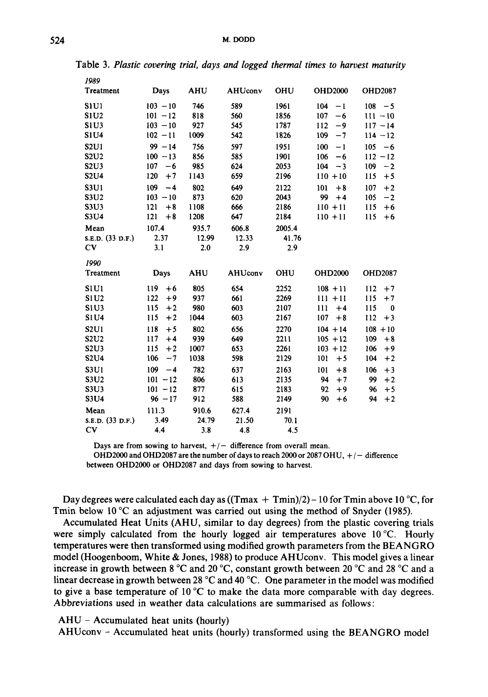| 1989                          |                         |              |                |             |                  |                  |
|-------------------------------|-------------------------|--------------|----------------|-------------|------------------|------------------|
| Treatment                     | Days                    | <b>AHU</b>   | <b>AHUconv</b> | OHU         | <b>OHD2000</b>   | <b>OHD2087</b>   |
| S <sub>1</sub> U <sub>1</sub> | $103 - 10$              | 746          | 589            | 1961        | 104<br>$-1$      | $108 - 5$        |
| <b>S1U2</b>                   | $101 - 12$              | 818          | 560            | 1856        | 107<br>$-6$      | $111 - 10$       |
| <b>S1U3</b>                   | $103 - 10$              | 927          | 545            | 1787        | 112<br>-9        | $117 - 14$       |
| <b>S1U4</b>                   | $102 - 11$              | 1009         | 542            | 1826        | 109<br>$-7$      | $114 - 12$       |
| <b>S2U1</b>                   | $99 - 14$               | 756          | 597            | 1951        | 100<br>$-1$      | 105<br>$-6$      |
| <b>S2U2</b>                   | $100 - 13$              | 856          | 585            | 1901        | 106<br>$-6$      | $112 - 12$       |
| S2U3                          | 107<br>$-6$             | 985          | 624            | 2053        | 104<br>$-3$      | 109<br>$-2$      |
| <b>S2U4</b>                   | 120<br>$+7$             | 1143         | 659            | 2196        | $110 + 10$       | 115<br>$+5$      |
| <b>S3U1</b>                   | 109<br>$-4$             | 802          | 649            | 2122        | 101<br>$+8$      | 107<br>$+2$      |
| S3U2                          | $103 - 10$              | 873          | 620            | 2043        | 99<br>$+4$       | 105<br>$-2$      |
| S3U3                          | 121<br>$+8$             | 1108         | 666            | 2186        | $110 + 11$       | 115<br>$+6$      |
| S3U4                          | 121<br>$+8$             | 1208         | 647            | 2184        | $110 + 11$       | 115<br>$+6$      |
| Mean                          | 107.4                   | 935.7        | 606.8          | 2005.4      |                  |                  |
| S.E.D. (33 D.F.)              | 2.37                    | 12.99        | 12.33          | 41.76       |                  |                  |
| C <sub>V</sub>                | 3.1                     | 2.0          | 2.9            | 2.9         |                  |                  |
| 1990                          |                         |              |                |             |                  |                  |
| Treatment                     | Days                    | <b>AHU</b>   | AHUconv        | OHU         | <b>OHD2000</b>   | <b>OHD2087</b>   |
| <b>S1U1</b>                   | 119<br>$+6$             | 805          | 654            | 2252        | $108 + 11$       | 112<br>$+7$      |
| S1U2                          | 122<br>$+9$             | 937          | 661            | 2269        | $111 + 11$       | 115<br>$+7$      |
| <b>S1U3</b>                   | 115<br>$+2$             | 980          | 603            | 2107        | 111<br>$+4$      | 115<br>$\bf{0}$  |
| <b>S1U4</b>                   | 115<br>$+2$             | 1044         | 603            | 2167        | 107<br>$+8$      | 112<br>$+3$      |
| S2U1                          | 118<br>$+5$             | 802          | 656            | 2270        | $104 + 14$       | $108 + 10$       |
| S <sub>2</sub> U <sub>2</sub> | 117<br>$+4$             | 939          | 649            | 2211        | $105 + 12$       | 109<br>$+8$      |
| S2U3                          | 115<br>$+2$             | 1007         | 653            | 2261        | $103 + 12$       | 106<br>$+9$      |
|                               |                         |              |                |             |                  |                  |
|                               |                         |              |                |             |                  |                  |
| <b>S2U4</b>                   | 106<br>$-7$             | 1038         | 598            | 2129        | 101<br>$+5$      | 104<br>$+2$      |
| S3U1                          | 109<br>$-4$             | 782          | 637            | 2163        | 101<br>$+8$      | 106<br>$+3$      |
| <b>S3U2</b>                   | $101 - 12$              | 806          | 613            | 2135        | 94<br>$+7$       | 99<br>$+2$       |
| <b>S3U3</b>                   | $101 - 12$<br>$96 - 17$ | 877          | 615            | 2183        | 92<br>$+9$<br>90 | 96<br>$+5$<br>94 |
| S3U4                          |                         | 912          | 588            | 2149        | $+6$             | $+2$             |
| Mean                          | 111.3                   | 910.6        | 627.4          | 2191        |                  |                  |
| S.E.D. (33 D.F.)<br>CV        | 3.49<br>4.4             | 24.79<br>3.8 | 21.50<br>4.8   | 70.1<br>4.5 |                  |                  |

Table 3. *Plastic covering trial, days and logged thermal times to harvest maturity* 

Days are from sowing to harvest,  $+/-$  difference from overall mean.

OHD2000 and OHD2087 are the number of days to reach 2000 or 2087 OHU,  $+/-$  difference between OHD2000 or OHD2087 and days from sowing to harvest.

Day degrees were calculated each day as ((Tmax + Tmin)/2) - 10 for Tmin above **10** "C, for Tmin below 10 "C an adjustment was carried out using the method of Snyder **(1985).** 

Accumulated Heat Units (AHU, similar to day degrees) from the plastic covering trials were simply calculated from the hourly logged air temperatures above 10 °C. Hourly temperatures were then transformed using modified growth parameters from the BEANGRO model (Hoogenboom, White & Jones, **1988)** to produce AHUconv. This model gives a linear increase in growth between **8 "C** and 20 "C, constant growth between **20** "C and **28** *"C* and a linear decrease in growth between **28** *"C* and **40** "C. One parameter in the model was modified to give a base temperature of 10  $^{\circ}$ C to make the data more comparable with day degrees. Abbreviations used in weather data calculations are summarised as follows :

 $AHU - Accumulated heat units (hourly)$ 

AHUconv - Accumulated heat units (hourly) transformed using the BEANGRO model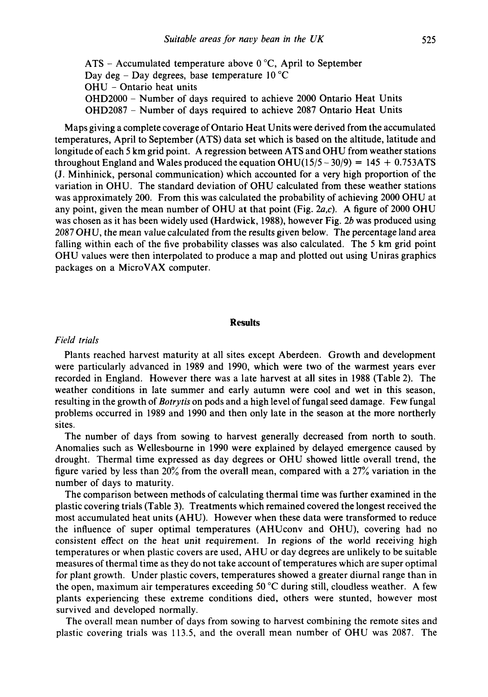ATS - Accumulated temperature above *0* "C, April to September Day deg - Day degrees, base temperature  $10^{\circ}$ C OHU - Ontario heat units OHD2000 - Number of days required to achieve 2000 Ontario Heat Units OHD2087 - Number of days required to achieve 2087 Ontario Heat Units

Maps giving a complete coverage of Ontario Heat Units were derived from the accumulated temperatures, April to September (ATS) data set which is based on the altitude, latitude and longitude of each 5 km grid point. A regression between ATS and OHU from weather stations throughout England and Wales produced the equation OHU( $15/5 - 30/9$ ) = 145 + 0.753ATS (J. Minhinick, personal communication) which accounted for a very high proportion of the variation in OHU. The standard deviation of OHU calculated from these weather stations was approximately 200. From this was calculated the probability of achieving 2000 OHU at any point, given the mean number of OHU at that point (Fig. *2a,c).* **A** figure of 2000 OHU was chosen as it has been widely used (Hardwick, 1988), however Fig. *2b* was produced using 2087 OHU, the mean value calculated from the results given below. The percentage land area falling within each of the five probability classes was also calculated. The 5 km grid point OHU values were then interpolated to produce a map and plotted out using Uniras graphics packages on a MicroVAX computer.

#### **Results**

# *Field trials*

Plants reached harvest maturity at all sites except Aberdeen. Growth and development were particularly advanced in 1989 and 1990, which were two of the warmest years ever recorded in England. However there was a late harvest at all sites in 1988 (Table 2). The weather conditions in late summer and early autumn were cool and wet in this season, resulting in the growth of *Botrytis* on pods and a high level of fungal seed damage. Few fungal problems occurred in 1989 and 1990 and then only late in the season at the more northerly sites.

The number of days from sowing to harvest generally decreased from north to south. Anomalies such as Wellesbourne in 1990 were explained by delayed emergence caused by drought. Thermal time expressed as day degrees or OHU showed little overall trend, the figure varied by less than 20% from the overall mean, compared with a 27% variation in the number of days to maturity.

The comparison between methods of calculating thermal time was further examined in the plastic covering trials (Table 3). Treatments which remained covered the longest received the most accumulated heat units (AHU). However when these data were transformed to reduce the influence of super optimal temperatures (AHUconv and OHU), covering had no consistent effect on the heat unit requirement. In regions of the world receiving high temperatures or when plastic covers are used, AHU or day degrees are unlikely to be suitable measures of thermal time as they do not take account of temperatures which are super optimal for plant growth. Under plastic covers, temperatures showed a greater diurnal range than in the open, maximum air temperatures exceeding 50 "C during still, cloudless weather. **A** few plants experiencing these extreme conditions died, others were stunted, however most survived and developed normally.

The overall mean number of days from sowing to harvest combining the remote sites and plastic covering trials was 113.5, and the overall mean number of OHU was 2087. The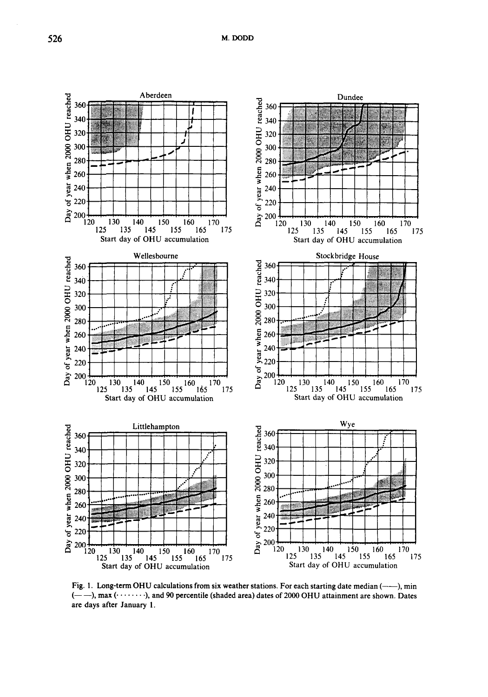

Fig. 1. Long-term OHU calculations from six weather stations. For each starting date median (----), min (- -), **max** (. . . . . . . . ), **and 90 percentile (shaded area) dates** of 2000 **OHU attainment are shown. Dates are days after January 1.**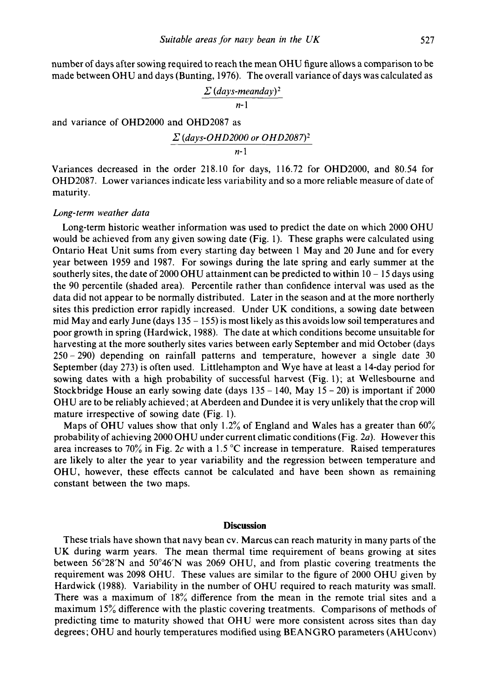number of days after sowing required to reach the mean OHU figure allows a comparison to be made between OHU and days (Bunting, 1976). The overall variance of days was calculated as

> $\sum$  (*days-meanday*)<sup>2</sup> *n-* 1

and variance of OHD2000 and OHD2087 as

$$
\Sigma (days-OHD2000 or OHD2087)^2
$$

*n-* 1

Variances decreased in the order 218.10 for days, 116.72 for OHD2000, and 80.54 for OHD2087. Lower variances indicate less variability and so a more reliable measure of date of maturity.

#### *Long-term weather data*

Long-term historic weather information was used to predict the date on which 2000 OHU would be achieved from any given sowing date (Fig. 1). These graphs were calculated using Ontario Heat Unit sums from every starting day between 1 May and **20** June and for every year between 1959 and 1987. For sowings during the late spring and early summer at the southerly sites, the date of 2000 OHU attainment can be predicted to within  $10 - 15$  days using the 90 percentile (shaded area). Percentile rather than confidence interval was used as the data did not appear to be normally distributed. Later in the season and at the more northerly sites this prediction error rapidly increased. Under UK conditions, a sowing date between mid May and early June (days  $135 - 155$ ) is most likely as this avoids low soil temperatures and poor growth in spring (Hardwick, 1988). The date at which conditions become unsuitable for harvesting at the more southerly sites varies between early September and mid October (days <sup>250</sup>- 290) depending on rainfall patterns and temperature, however a single date 30 September (day 273) is often used. Littlehampton and Wye have at least a 14-day period for sowing dates with a high probability of successful harvest (Fig. 1); at Wellesbourne and Stockbridge House an early sowing date (days  $135 - 140$ , May  $15 - 20$ ) is important if 2000 OHU are to be reliably achieved; at Aberdeen and Dundee it is very unlikely that the crop will mature irrespective **of** sowing date (Fig. 1).

Maps of OHU values show that only 1.2% of England and Wales has a greater than  $60\%$ probability of achieving 2000 OHU under current climatic conditions (Fig. *2a).* However this area increases to 70% in Fig. 2c with a 1.5  $^{\circ}$ C increase in temperature. Raised temperatures are likely to alter the year to year variability and the regression between temperature and OHU, however, these effects cannot be calculated and have been shown as remaining constant between the two maps.

## **Discussion**

These trials have shown that navy bean cv. Marcus can reach maturity in many parts of the UK during warm years. The mean thermal time requirement of beans growing at sites between **56"28'N** and 50'46" was 2069 OHU, and from plastic covering treatments the requirement was 2098 OHU. These values are similar to the figure of 2000 OHU given by Hardwick (1988). Variability in the number of OHU required to reach maturity was small. There was a maximum **of** 18% difference from the mean in the remote trial sites and a maximum 15% difference with the plastic covering treatments. Comparisons of methods of predicting time to maturity showed that OHU were more consistent across sites than day degrees ; OHU and hourly temperatures modified using BEANGRO parameters (AHUconv)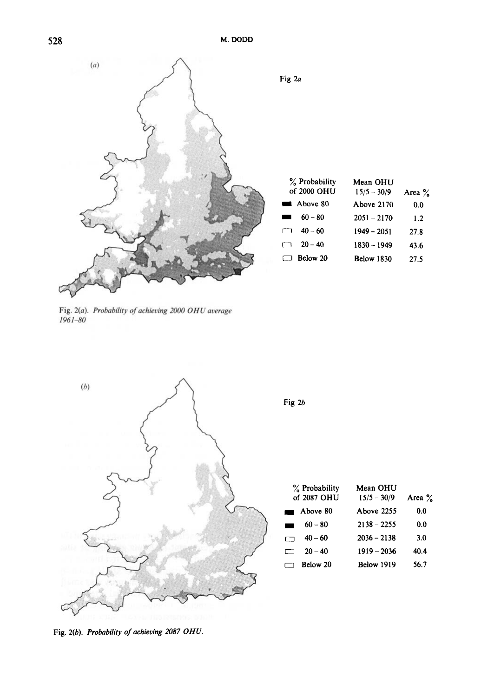**528 M. DODD** 



Fig. 2(a). Probability of achieving 2000 OHU average  $1961 - 80$ 



Fig. 2(b). *Probability of achieving 2087 OHU.*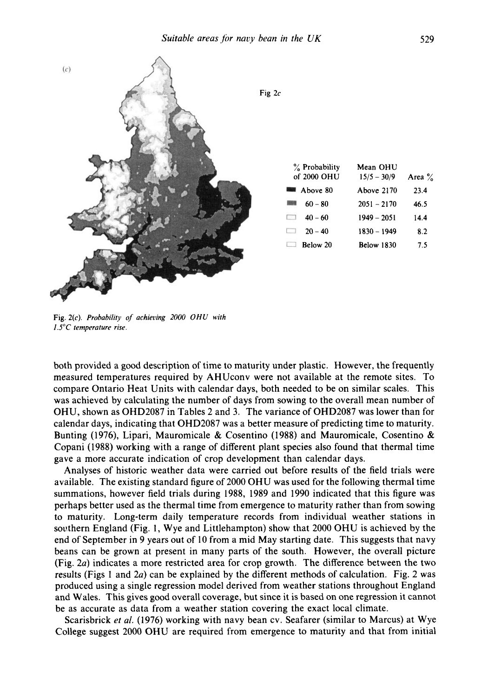

**Fig. 2(c).** *Probability of achieoing 2000 OHU with 1.5"C temperature rise.* 

both provided a good description of time to maturity under plastic. However, the frequently measured temperatures required by AHUconv were not available at the remote sites. To compare Ontario Heat Units with calendar days, both needed to be on similar scales. This was achieved by calculating the number of days from sowing to the overall mean number of OHU, shown as OHD2087 in Tables 2 and **3.** The variance of OHD2087 was lower than for calendar days, indicating that OHD2087 was a better measure of predicting time to maturity. Bunting (1976), Lipari, Mauromicale & Cosentino (1988) and Mauromicale, Cosentino & Copani (1988) working with a range of different plant species also found that thermal time gave a more accurate indication of crop development than calendar days.

Analyses of historic weather data were carried out before results of the field trials were available. The existing standard figure of 2000 OHU was used for the following thermal time summations, however field trials during 1988, 1989 and 1990 indicated that this figure was perhaps better used as the thermal time from emergence to maturity rather than from sowing to maturity. Long-term daily temperature records from individual weather stations in southern England (Fig. 1, Wye and Littlehampton) show that 2000 OHU is achieved by the end of September in 9 years out of 10 from a mid May starting date. This suggests that navy beans can be grown at present in many parts of the south. However, the overall picture (Fig. 2a) indicates a more restricted area for crop growth. The difference between the two results (Figs 1 and 2a) can be explained by the different methods of calculation. Fig. 2 was produced using a single regression model derived from weather stations throughout England and Wales. This gives good overall coverage, but since it is based on one regression it cannot be as accurate as data from a weather station covering the exact local climate.

Scarisbrick *et al.* (1976) working with navy bean cv. Seafarer (similar to Marcus) at Wye College suggest 2000 OHU are required from emergence to maturity and that from initial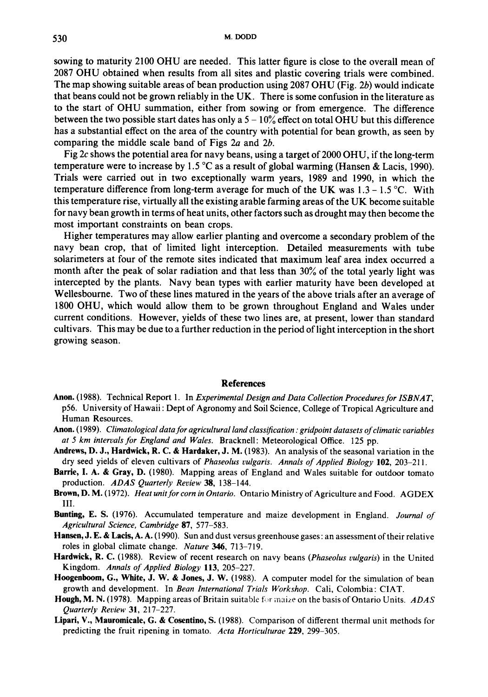sowing to maturity 2100 OHU are needed. This latter figure is close to the overall mean of 2087 OHU obtained when results from all sites and plastic covering trials were combined. The map showing suitable areas of bean production using 2087 OHU (Fig. 2b) would indicate that beans could not be grown reliably in the UK. There is some confusion in the literature as to the start of OHU summation, either from sowing or from emergence. The difference between the two possible start dates has only a  $5 - 10\%$  effect on total OHU but this difference has a substantial effect on the area of the country with potential for bean growth, **as** seen by comparing the middle scale band of Figs 2a and 26.

Fig 2c shows the potential area for navy beans, using a target of 2000 OHU, if the long-term temperature were to increase by 1.5 **"C** as a result of global warming (Hansen & Lacis, 1990). Trials were carried out in two exceptionally warm years, 1989 and 1990, in which the temperature difference from long-term average for much of the UK was **1.3** - 1.5 **"C.** With this temperature rise, virtually all the existing arable farming areas of the UK become suitable for navy bean growth in terms of heat units, other factors such as drought may then become the most important constraints on bean crops.

Higher temperatures may allow earlier planting and overcome a secondary problem of the navy bean crop, that of limited light interception. Detailed measurements with tube solarimeters at four of the remote sites indicated that maximum leaf area index occurred a month after the peak of solar radiation and that less than 30% of the total yearly light was intercepted by the plants. Navy bean types with earlier maturity have been developed at Wellesbourne. Two of these lines matured in the years of the above trials after an average of 1800 OHU, which would allow them to be grown throughout England and Wales under current conditions. However, yields of these two lines are, at present, lower than standard cultivars. This may be due to a further reduction in the period of light interception in the short growing season.

#### **References**

- **Anon.** (1988). Technical Report 1. In *Experimental Design and Data Collection Procedures for ISBNAT,*  p56. University of Hawaii : Dept of Agronomy and Soil Science, College of Tropical Agriculture and Human Resources.
- **Anon.** (1 989). *Climatological data for agricultural land classification* : *gridpoint datasets of climatic variables at 5 km intervals for England and Wales.* Bracknell: Meteorological Office. 125 pp.
- **Andrews, D. J., Hardwick, R. C.** & **Hardaker, J. M.** (1983). An analysis of the seasonal variation in the dry seed yields of eleven cultivars of *Phaseolus vulgaris. Annals of Applied Biology* **102,** 203-21 1.
- **Barrie, I. A.** & **Gray, D.** (1980). Mapping areas of England and Wales suitable for outdoor tomato production. *ADAS Quarterly Review* **38,** 138-144.
- **Brown, D. M.** (1972). *Heat unit for corn in Ontario.* Ontario Ministry of Agriculture and Food. AGDEX 111.
- **Bunting, E. S.** (1976). Accumulated temperature and maize development in England. *Journal of Agricultural Science, Cambridge 87,* 577-583.
- **Hansen, J. E.** & **Lacis, A. A.** (1990). Sun and dust versus greenhouse gases: an assessment of their relative roles in global climate change. *Nature* **346,** 713-719.
- **Hardwick, R. C.** (1988). Review of recent research on navy beans *(Phaseolus vulgaris)* in the United Kingdom. *Annals of Applied Biology* **113,** 205-227.
- **Hoogenboom, G., White, J. W.** & **Jones, J. W.** (1988). A computer model for the simulation of bean growth and development. In *Bean International Trials Workshop.* Cali, Colombia : CIAT.
- **Hough, M. N. (1978).** Mapping areas of Britain suitable for maize on the basis of Ontario Units. *ADAS Quarterly Review* **31,** 217-227.
- **Lipari, V., Mauromicale, G.** & **Cosentino, S.** (1988). Comparison of different thermal unit methods for predicting the fruit ripening in tomato. *Acta Horticulturae* **229,** 299-305.